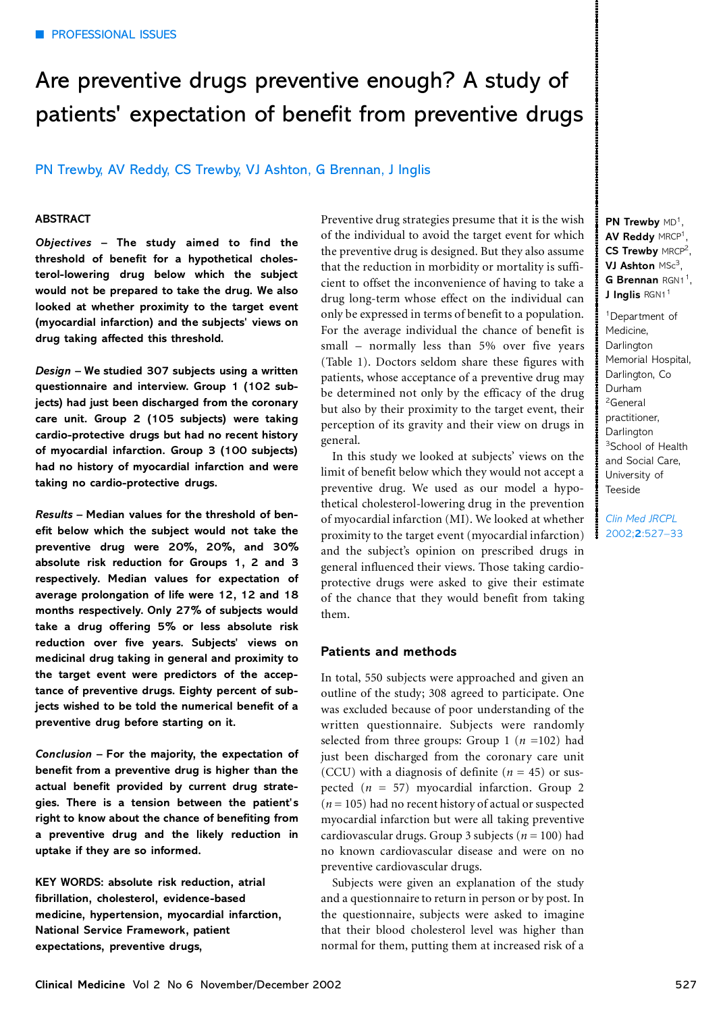# Are preventive drugs preventive enough? A study of patients' expectation of benefit from preventive drugs

# PN Trewby, AV Reddy, CS Trewby, VJ Ashton, G Brennan, J Inglis

#### **ABSTRACT**

*Objectives –* **The study aimed to find the threshold of benefit for a hypothetical cholesterol-lowering drug below which the subject would not be prepared to take the drug. We also looked at whether proximity to the target event (myocardial infarction) and the subjects' views on drug taking affected this threshold.** 

*Design –* **We studied 307 subjects using a written questionnaire and interview. Group 1 (102 subjects) had just been discharged from the coronary care unit. Group 2 (105 subjects) were taking cardio-protective drugs but had no recent history of myocardial infarction. Group 3 (100 subjects) had no history of myocardial infarction and were taking no cardio-protective drugs.**

*Results –* **Median values for the threshold of benefit below which the subject would not take the preventive drug were 20%, 20%, and 30% absolute risk reduction for Groups 1, 2 and 3 respectively. Median values for expectation of average prolongation of life were 12, 12 and 18 months respectively. Only 27% of subjects would take a drug offering 5% or less absolute risk reduction over five years. Subjects' views on medicinal drug taking in general and proximity to the target event were predictors of the acceptance of preventive drugs. Eighty percent of subjects wished to be told the numerical benefit of a preventive drug before starting on it.** 

*Conclusion –* **For the majority, the expectation of benefit from a preventive drug is higher than the actual benefit provided by current drug strategies. There is a tension between the patient' s right to know about the chance of benefiting from a preventive drug and the likely reduction in uptake if they are so informed.** 

**KEY WORDS: absolute risk reduction, atrial fibrillation, cholesterol, evidence-based medicine, hypertension, myocardial infarction, National Service Framework, patient expectations, preventive drugs,** 

Preventive drug strategies presume that it is the wish of the individual to avoid the target event for which the preventive drug is designed. But they also assume that the reduction in morbidity or mortality is sufficient to offset the inconvenience of having to take a drug long-term whose effect on the individual can only be expressed in terms of benefit to a population. For the average individual the chance of benefit is small – normally less than 5% over five years (Table 1). Doctors seldom share these figures with patients, whose acceptance of a preventive drug may be determined not only by the efficacy of the drug but also by their proximity to the target event, their perception of its gravity and their view on drugs in general.

In this study we looked at subjects' views on the limit of benefit below which they would not accept a preventive drug. We used as our model a hypothetical cholesterol-lowering drug in the prevention of myocardial infarction (MI). We looked at whether proximity to the target event (myocardial infarction) and the subject's opinion on prescribed drugs in general influenced their views. Those taking cardioprotective drugs were asked to give their estimate of the chance that they would benefit from taking them.

# **Patients and methods**

In total, 550 subjects were approached and given an outline of the study; 308 agreed to participate. One was excluded because of poor understanding of the written questionnaire. Subjects were randomly selected from three groups: Group 1 ( $n = 102$ ) had just been discharged from the coronary care unit (CCU) with a diagnosis of definite  $(n = 45)$  or suspected (*n* = 57) myocardial infarction. Group 2 (*n* = 105) had no recent history of actual or suspected myocardial infarction but were all taking preventive cardiovascular drugs. Group 3 subjects (*n* = 100) had no known cardiovascular disease and were on no preventive cardiovascular drugs.

Subjects were given an explanation of the study and a questionnaire to return in person or by post. In the questionnaire, subjects were asked to imagine that their blood cholesterol level was higher than normal for them, putting them at increased risk of a

**PN Trewby** MD<sup>1</sup> , **AV Reddy** MRCP<sup>1</sup> , **CS Trewby** MRCP<sup>2</sup> , **VJ Ashton** MSc<sup>3</sup>, **G Brennan** RGN1<sup>1</sup>, **J Inglis RGN1<sup>1</sup>** 

<sup>1</sup>Department of Medicine, Darlington Memorial Hospital, Darlington, Co Durham <sup>2</sup>General practitioner, Darlington <sup>3</sup>School of Health and Social Care, University of Teeside

*Clin Med JRCPL* 2002;**2**:527–33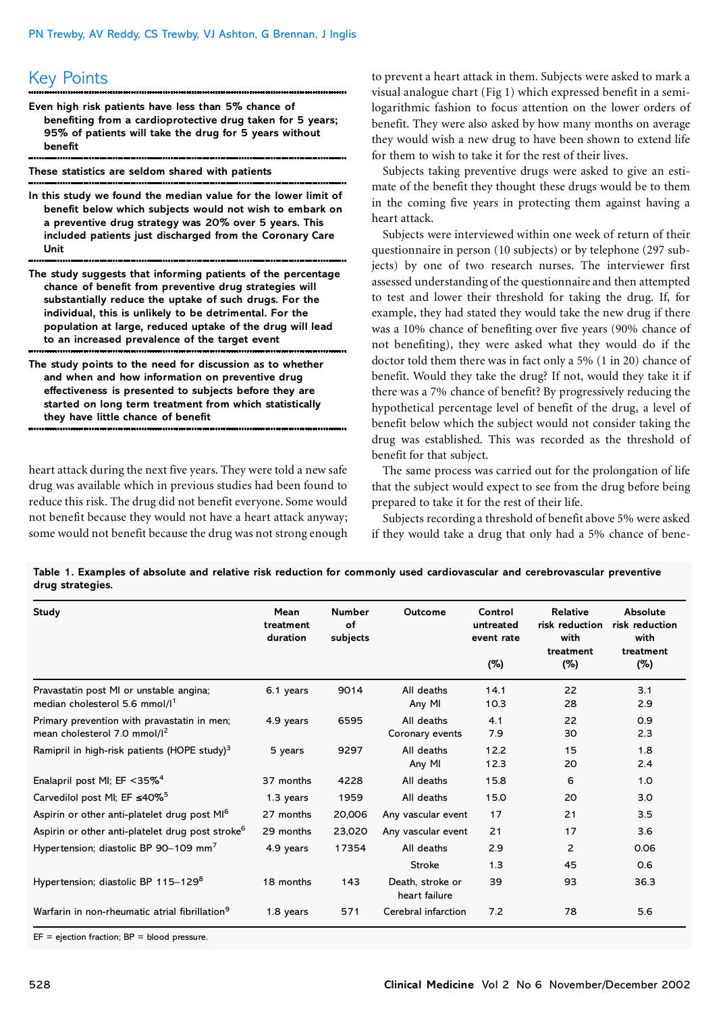# Key Points

**Even high risk patients have less than 5% chance of benefiting from a cardioprotective drug taken for 5 years; 95% of patients will take the drug for 5 years without benefit**

**These statistics are seldom shared with patients**

- **In this study we found the median value for the lower limit of benefit below which subjects would not wish to embark on a preventive drug strategy was 20% over 5 years. This included patients just discharged from the Coronary Care Unit**
- **The study suggests that informing patients of the percentage chance of benefit from preventive drug strategies will substantially reduce the uptake of such drugs. For the individual, this is unlikely to be detrimental. For the population at large, reduced uptake of the drug will lead to an increased prevalence of the target event**
- **The study points to the need for discussion as to whether and when and how information on preventive drug effectiveness is presented to subjects before they are started on long term treatment from which statistically they have little chance of benefit**

heart attack during the next five years. They were told a new safe drug was available which in previous studies had been found to reduce this risk. The drug did not benefit everyone. Some would not benefit because they would not have a heart attack anyway; some would not benefit because the drug was not strong enough to prevent a heart attack in them. Subjects were asked to mark a visual analogue chart (Fig 1) which expressed benefit in a semilogarithmic fashion to focus attention on the lower orders of benefit. They were also asked by how many months on average they would wish a new drug to have been shown to extend life for them to wish to take it for the rest of their lives.

Subjects taking preventive drugs were asked to give an estimate of the benefit they thought these drugs would be to them in the coming five years in protecting them against having a heart attack.

Subjects were interviewed within one week of return of their questionnaire in person (10 subjects) or by telephone (297 subjects) by one of two research nurses. The interviewer first assessed understanding of the questionnaire and then attempted to test and lower their threshold for taking the drug. If, for example, they had stated they would take the new drug if there was a 10% chance of benefiting over five years (90% chance of not benefiting), they were asked what they would do if the doctor told them there was in fact only a 5% (1 in 20) chance of benefit. Would they take the drug? If not, would they take it if there was a 7% chance of benefit? By progressively reducing the hypothetical percentage level of benefit of the drug, a level of benefit below which the subject would not consider taking the drug was established. This was recorded as the threshold of benefit for that subject.

The same process was carried out for the prolongation of life that the subject would expect to see from the drug before being prepared to take it for the rest of their life.

Subjects recording a threshold of benefit above 5% were asked if they would take a drug that only had a 5% chance of bene-

| Table 1. Examples of absolute and relative risk reduction for commonly used cardiovascular and cerebrovascular preventive |  |  |  |
|---------------------------------------------------------------------------------------------------------------------------|--|--|--|
| drug strategies.                                                                                                          |  |  |  |

| Study                                                                                   | Mean<br>treatment<br>duration | <b>Number</b><br>of<br>subjects | Outcome                           | Control<br>untreated<br>event rate<br>$(\%)$ | <b>Relative</b><br>risk reduction<br>with<br>treatment<br>(%) | Absolute<br>risk reduction<br>with<br>treatment<br>(%) |
|-----------------------------------------------------------------------------------------|-------------------------------|---------------------------------|-----------------------------------|----------------------------------------------|---------------------------------------------------------------|--------------------------------------------------------|
| Pravastatin post MI or unstable angina;<br>median cholesterol 5.6 mmol/l <sup>1</sup>   | 6.1 years                     | 9014                            | All deaths<br>Any MI              | 14.1<br>10.3                                 | 22<br>28                                                      | 3.1<br>2.9                                             |
| Primary prevention with pravastatin in men;<br>mean cholesterol 7.0 mmol/l <sup>2</sup> | 4.9 years                     | 6595                            | All deaths<br>Coronary events     | 4.1<br>7.9                                   | 22<br>30                                                      | 0.9<br>2.3                                             |
| Ramipril in high-risk patients (HOPE study) <sup>3</sup>                                | 5 years                       | 9297                            | All deaths<br>Any MI              | 12.2<br>12.3                                 | 15<br>20                                                      | 1.8<br>2.4                                             |
| Enalapril post MI; EF $<$ 35% <sup>4</sup>                                              | 37 months                     | 4228                            | All deaths                        | 15.8                                         | 6                                                             | 1.0                                                    |
| Carvedilol post MI; EF $\leq 40\%^5$                                                    | 1.3 years                     | 1959                            | All deaths                        | 15.0                                         | 20                                                            | 3.0                                                    |
| Aspirin or other anti-platelet drug post MI <sup>6</sup>                                | 27 months                     | 20,006                          | Any vascular event                | 17                                           | 21                                                            | 3.5                                                    |
| Aspirin or other anti-platelet drug post stroke <sup>6</sup>                            | 29 months                     | 23,020                          | Any vascular event                | 21                                           | 17                                                            | 3.6                                                    |
| Hypertension; diastolic BP 90-109 mm'                                                   | 4.9 years                     | 17354                           | All deaths                        | 2.9                                          | 2                                                             | 0.06                                                   |
|                                                                                         |                               |                                 | Stroke                            | 1.3                                          | 45                                                            | 0.6                                                    |
| Hypertension; diastolic BP 115-1298                                                     | 18 months                     | 143                             | Death, stroke or<br>heart failure | 39                                           | 93                                                            | 36.3                                                   |
| Warfarin in non-rheumatic atrial fibrillation <sup>9</sup>                              | 1.8 years                     | 571                             | Cerebral infarction               | 7.2                                          | 78                                                            | 5.6                                                    |

 $EF = ejection fraction; BP = blood pressure$ .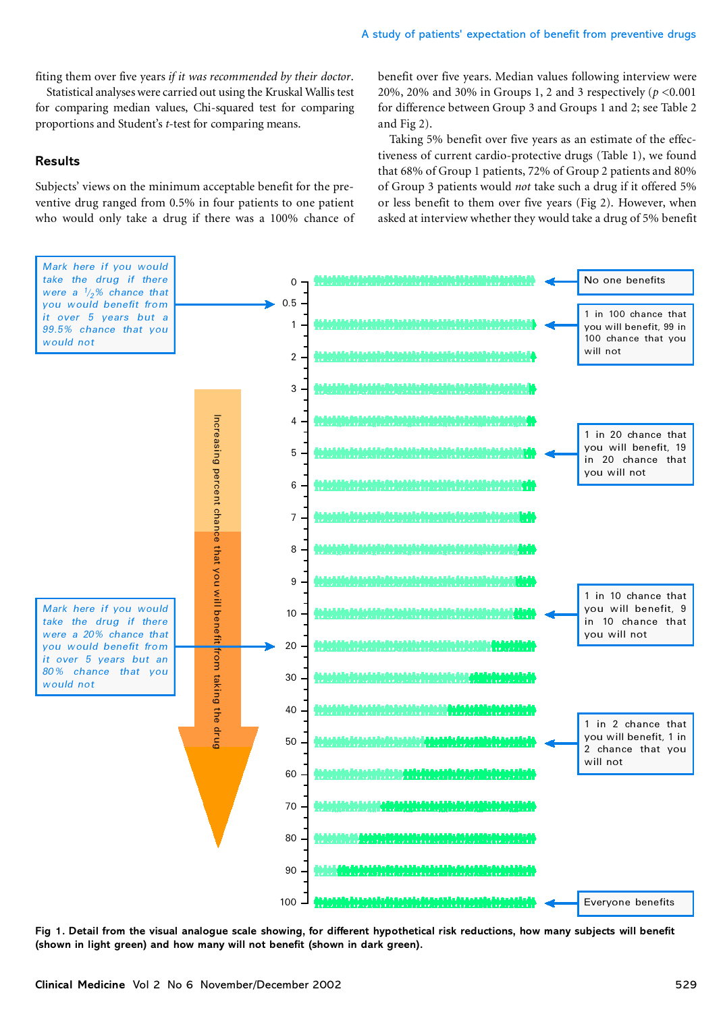fiting them over five years *if it was recommended by their doctor*.

Statistical analyses were carried out using the Kruskal Wallis test for comparing median values, Chi-squared test for comparing proportions and Student's *t*-test for comparing means.

#### **Results**

Subjects' views on the minimum acceptable benefit for the preventive drug ranged from 0.5% in four patients to one patient who would only take a drug if there was a 100% chance of benefit over five years. Median values following interview were 20%, 20% and 30% in Groups 1, 2 and 3 respectively (*p* <0.001 for difference between Group 3 and Groups 1 and 2; see Table 2 and Fig 2).

Taking 5% benefit over five years as an estimate of the effectiveness of current cardio-protective drugs (Table 1), we found that 68% of Group 1 patients, 72% of Group 2 patients and 80% of Group 3 patients would *not* take such a drug if it offered 5% or less benefit to them over five years (Fig 2). However, when asked at interview whether they would take a drug of 5% benefit



**Fig 1. Detail from the visual analogue scale showing, for different hypothetical risk reductions, how many subjects will benefit (shown in light green) and how many will not benefit (shown in dark green).**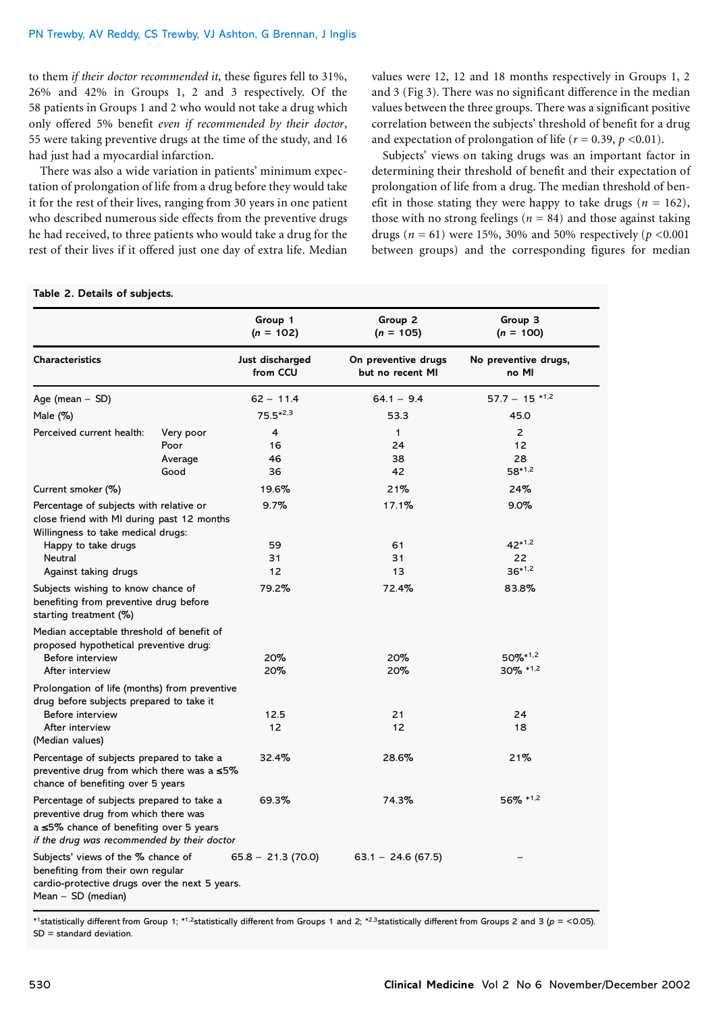to them *if their doctor recommended it*, these figures fell to 31%, 26% and 42% in Groups 1, 2 and 3 respectively. Of the 58 patients in Groups 1 and 2 who would not take a drug which only offered 5% benefit *even if recommended by their doctor*, 55 were taking preventive drugs at the time of the study, and 16 had just had a myocardial infarction.

There was also a wide variation in patients' minimum expectation of prolongation of life from a drug before they would take it for the rest of their lives, ranging from 30 years in one patient who described numerous side effects from the preventive drugs he had received, to three patients who would take a drug for the rest of their lives if it offered just one day of extra life. Median

values were 12, 12 and 18 months respectively in Groups 1, 2 and 3 (Fig 3). There was no significant difference in the median values between the three groups. There was a significant positive correlation between the subjects' threshold of benefit for a drug and expectation of prolongation of life  $(r = 0.39, p \le 0.01)$ .

Subjects' views on taking drugs was an important factor in determining their threshold of benefit and their expectation of prolongation of life from a drug. The median threshold of benefit in those stating they were happy to take drugs  $(n = 162)$ , those with no strong feelings ( $n = 84$ ) and those against taking drugs ( $n = 61$ ) were 15%, 30% and 50% respectively ( $p < 0.001$ ) between groups) and the corresponding figures for median

#### **Table 2. Details of subjects.**

|                                                                                                                                                                                    |                                      | Group 1<br>$(n = 102)$      | Group 2<br>$(n = 105)$                  | Group 3<br>$(n = 100)$                    |
|------------------------------------------------------------------------------------------------------------------------------------------------------------------------------------|--------------------------------------|-----------------------------|-----------------------------------------|-------------------------------------------|
| <b>Characteristics</b>                                                                                                                                                             |                                      | Just discharged<br>from CCU | On preventive drugs<br>but no recent MI | No preventive drugs,<br>no MI             |
| Age (mean - SD)                                                                                                                                                                    |                                      | $62 - 11.4$                 | $64.1 - 9.4$                            | $57.7 - 15$ *1,2                          |
| Male (%)                                                                                                                                                                           |                                      | $75.5*^{2,3}$               | 53.3                                    | 45.0                                      |
| Perceived current health:                                                                                                                                                          | Very poor<br>Poor<br>Average<br>Good | 4<br>16<br>46<br>36         | $\mathbf{1}$<br>24<br>38<br>42          | $\overline{2}$<br>12<br>28<br>$58^{*1,2}$ |
| Current smoker (%)                                                                                                                                                                 |                                      | 19.6%                       | 21%                                     | 24%                                       |
| Percentage of subjects with relative or<br>close friend with MI during past 12 months<br>Willingness to take medical drugs:                                                        |                                      | 9.7%                        | 17.1%                                   | $9.0\%$                                   |
| Happy to take drugs                                                                                                                                                                |                                      | 59                          | 61                                      | $42^{*1,2}$                               |
| Neutral<br>Against taking drugs                                                                                                                                                    |                                      | 31<br>12                    | 31<br>13                                | 22<br>$36^{*1,2}$                         |
| Subjects wishing to know chance of<br>benefiting from preventive drug before<br>starting treatment (%)                                                                             |                                      | 79.2%                       | 72.4%                                   | 83.8%                                     |
| Median acceptable threshold of benefit of<br>proposed hypothetical preventive drug:<br>Before interview<br>After interview                                                         |                                      | 20%<br>20%                  | 20%<br>20%                              | $50\%^{*1,2}$<br>$30\%$ *1,2              |
| Prolongation of life (months) from preventive<br>drug before subjects prepared to take it<br>Before interview<br>After interview<br>(Median values)                                |                                      | 12.5<br>12                  | 21<br>12                                | 24<br>18                                  |
| Percentage of subjects prepared to take a<br>preventive drug from which there was a $\leq 5\%$<br>chance of benefiting over 5 years                                                |                                      | 32.4%                       | 28.6%                                   | 21%                                       |
| Percentage of subjects prepared to take a<br>preventive drug from which there was<br>$a \leq 5\%$ chance of benefiting over 5 years<br>if the drug was recommended by their doctor |                                      | 69.3%                       | 74.3%                                   | $56\% *1,2$                               |
| Subjects' views of the % chance of<br>benefiting from their own regular<br>cardio-protective drugs over the next 5 years.<br>Mean - SD (median)                                    |                                      | $65.8 - 21.3(70.0)$         | $63.1 - 24.6$ (67.5)                    |                                           |

\*<sup>1</sup>statistically different from Group 1; \*1,2statistically different from Groups 1 and 2; \*2,3statistically different from Groups 2 and 3 (*p* = <0.05). SD = standard deviation.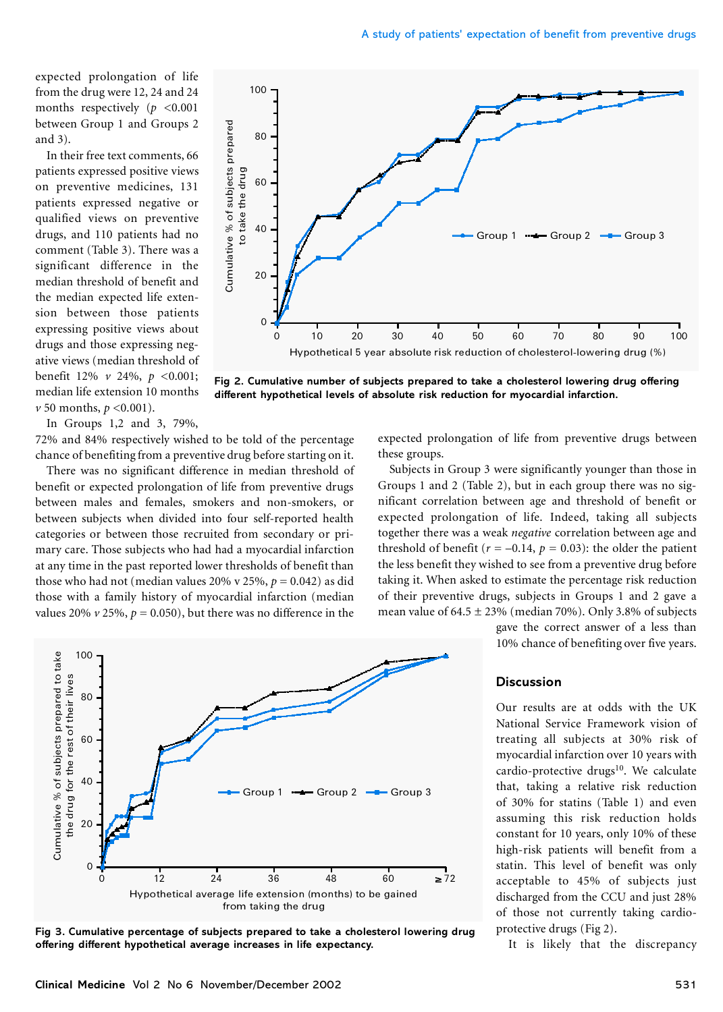expected prolongation of life from the drug were 12, 24 and 24 months respectively ( $p \le 0.001$ ) between Group 1 and Groups 2 and 3).

In their free text comments, 66 patients expressed positive views on preventive medicines, 131 patients expressed negative or qualified views on preventive drugs, and 110 patients had no comment (Table 3). There was a significant difference in the median threshold of benefit and the median expected life extension between those patients expressing positive views about drugs and those expressing negative views (median threshold of benefit 12% *v* 24%, *p* <0.001; median life extension 10 months *v* 50 months, *p* <0.001).



**Fig 2. Cumulative number of subjects prepared to take a cholesterol lowering drug offering different hypothetical levels of absolute risk reduction for myocardial infarction.**

In Groups 1,2 and 3, 79%,

72% and 84% respectively wished to be told of the percentage chance of benefiting from a preventive drug before starting on it.

There was no significant difference in median threshold of benefit or expected prolongation of life from preventive drugs between males and females, smokers and non-smokers, or between subjects when divided into four self-reported health categories or between those recruited from secondary or primary care. Those subjects who had had a myocardial infarction at any time in the past reported lower thresholds of benefit than those who had not (median values  $20\%$  v  $25\%$ ,  $p = 0.042$ ) as did those with a family history of myocardial infarction (median values 20%  $\nu$  25%,  $p = 0.050$ ), but there was no difference in the expected prolongation of life from preventive drugs between these groups.

Subjects in Group 3 were significantly younger than those in Groups 1 and 2 (Table 2), but in each group there was no significant correlation between age and threshold of benefit or expected prolongation of life. Indeed, taking all subjects together there was a weak *negative* correlation between age and threshold of benefit ( $r = -0.14$ ,  $p = 0.03$ ): the older the patient the less benefit they wished to see from a preventive drug before taking it. When asked to estimate the percentage risk reduction of their preventive drugs, subjects in Groups 1 and 2 gave a mean value of  $64.5 \pm 23\%$  (median 70%). Only 3.8% of subjects



**Fig 3. Cumulative percentage of subjects prepared to take a cholesterol lowering drug offering different hypothetical average increases in life expectancy.**

gave the correct answer of a less than 10% chance of benefiting over five years.

# **Discussion**

Our results are at odds with the UK National Service Framework vision of treating all subjects at 30% risk of myocardial infarction over 10 years with cardio-protective drugs<sup>10</sup>. We calculate that, taking a relative risk reduction of 30% for statins (Table 1) and even assuming this risk reduction holds constant for 10 years, only 10% of these high-risk patients will benefit from a statin. This level of benefit was only acceptable to 45% of subjects just discharged from the CCU and just 28% of those not currently taking cardioprotective drugs (Fig 2).

It is likely that the discrepancy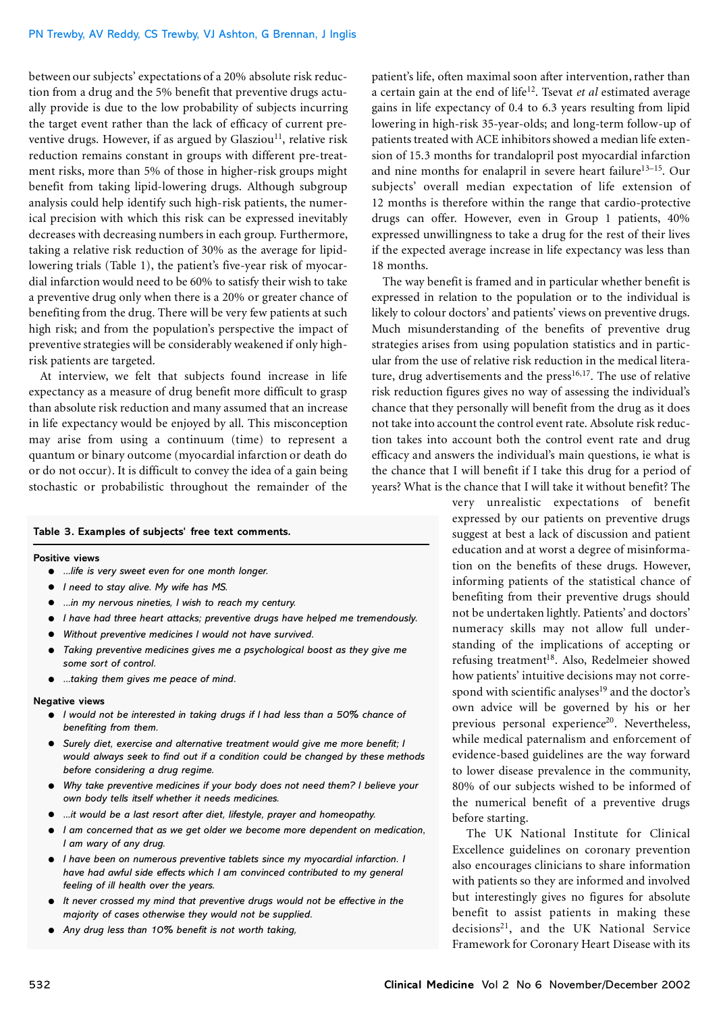between our subjects' expectations of a 20% absolute risk reduction from a drug and the 5% benefit that preventive drugs actually provide is due to the low probability of subjects incurring the target event rather than the lack of efficacy of current preventive drugs. However, if as argued by Glasziou<sup>11</sup>, relative risk reduction remains constant in groups with different pre-treatment risks, more than 5% of those in higher-risk groups might benefit from taking lipid-lowering drugs. Although subgroup analysis could help identify such high-risk patients, the numerical precision with which this risk can be expressed inevitably decreases with decreasing numbers in each group. Furthermore, taking a relative risk reduction of 30% as the average for lipidlowering trials (Table 1), the patient's five-year risk of myocardial infarction would need to be 60% to satisfy their wish to take a preventive drug only when there is a 20% or greater chance of benefiting from the drug. There will be very few patients at such high risk; and from the population's perspective the impact of preventive strategies will be considerably weakened if only highrisk patients are targeted.

At interview, we felt that subjects found increase in life expectancy as a measure of drug benefit more difficult to grasp than absolute risk reduction and many assumed that an increase in life expectancy would be enjoyed by all. This misconception may arise from using a continuum (time) to represent a quantum or binary outcome (myocardial infarction or death do or do not occur). It is difficult to convey the idea of a gain being stochastic or probabilistic throughout the remainder of the

#### **Table 3. Examples of subjects' free text comments.**

#### **Positive views**

- $\bullet$  *...life is very sweet even for one month longer.*
- l *I need to stay alive. My wife has MS.*
- l *...in my nervous nineties, I wish to reach my century.*
- l *I have had three heart attacks; preventive drugs have helped me tremendously.*
- l *Without preventive medicines I would not have survived.*
- l *Taking preventive medicines gives me a psychological boost as they give me some sort of control.*
- l *...taking them gives me peace of mind*.

#### **Negative views**

- l *I would not be interested in taking drugs if I had less than a 50% chance of benefiting from them.*
- **.** Surely diet, exercise and alternative treatment would give me more benefit; I *would always seek to find out if a condition could be changed by these methods before considering a drug regime.*
- l *Why take preventive medicines if your body does not need them? I believe your own body tells itself whether it needs medicines.*
- ...*it would be a last resort after diet, lifestyle, prayer and homeopathy.*
- l *I am concerned that as we get older we become more dependent on medication*, *I am wary of any drug.*
- l *I have been on numerous preventive tablets since my myocardial infarction. I have had awful side effects which I am convinced contributed to my general feeling of ill health over the years.*
- It never crossed my mind that preventive drugs would not be effective in the *majority of cases otherwise they would not be supplied.*
- l *Any drug less than 10% benefit is not worth taking,*

patient's life, often maximal soon after intervention, rather than a certain gain at the end of life<sup>12</sup>. Tsevat *et al* estimated average gains in life expectancy of 0.4 to 6.3 years resulting from lipid lowering in high-risk 35-year-olds; and long-term follow-up of patients treated with ACE inhibitors showed a median life extension of 15.3 months for trandalopril post myocardial infarction and nine months for enalapril in severe heart failure<sup>13-15</sup>. Our subjects' overall median expectation of life extension of 12 months is therefore within the range that cardio-protective drugs can offer. However, even in Group 1 patients, 40% expressed unwillingness to take a drug for the rest of their lives if the expected average increase in life expectancy was less than 18 months.

The way benefit is framed and in particular whether benefit is expressed in relation to the population or to the individual is likely to colour doctors' and patients' views on preventive drugs. Much misunderstanding of the benefits of preventive drug strategies arises from using population statistics and in particular from the use of relative risk reduction in the medical literature, drug advertisements and the press<sup>16,17</sup>. The use of relative risk reduction figures gives no way of assessing the individual's chance that they personally will benefit from the drug as it does not take into account the control event rate. Absolute risk reduction takes into account both the control event rate and drug efficacy and answers the individual's main questions, ie what is the chance that I will benefit if I take this drug for a period of years? What is the chance that I will take it without benefit? The

> very unrealistic expectations of benefit expressed by our patients on preventive drugs suggest at best a lack of discussion and patient education and at worst a degree of misinformation on the benefits of these drugs. However, informing patients of the statistical chance of benefiting from their preventive drugs should not be undertaken lightly. Patients' and doctors' numeracy skills may not allow full understanding of the implications of accepting or refusing treatment<sup>18</sup>. Also, Redelmeier showed how patients' intuitive decisions may not correspond with scientific analyses<sup>19</sup> and the doctor's own advice will be governed by his or her previous personal experience<sup>20</sup>. Nevertheless, while medical paternalism and enforcement of evidence-based guidelines are the way forward to lower disease prevalence in the community, 80% of our subjects wished to be informed of the numerical benefit of a preventive drugs before starting.

The UK National Institute for Clinical Excellence guidelines on coronary prevention also encourages clinicians to share information with patients so they are informed and involved but interestingly gives no figures for absolute benefit to assist patients in making these decisions<sup>21</sup>, and the UK National Service Framework for Coronary Heart Disease with its